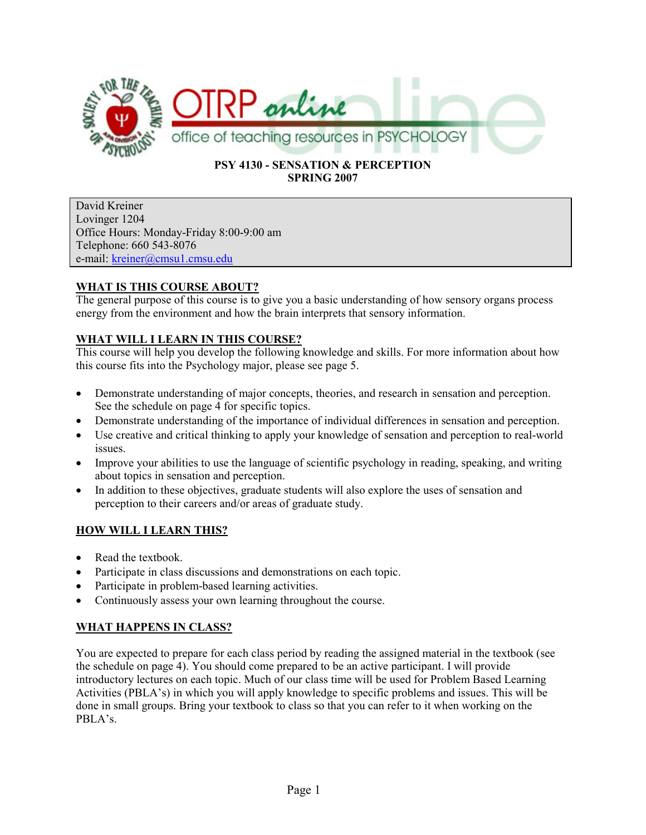

### PSY 4130 - SENSATION & PERCEPTION SPRING 2007

David Kreiner Lovinger 1204 Office Hours: Monday-Friday 8:00-9:00 am Telephone: 660 543-8076 e-mail: kreiner@cmsu1.cmsu.edu

# WHAT IS THIS COURSE ABOUT?

The general purpose of this course is to give you a basic understanding of how sensory organs process energy from the environment and how the brain interprets that sensory information.

# WHAT WILL I LEARN IN THIS COURSE?

This course will help you develop the following knowledge and skills. For more information about how this course fits into the Psychology major, please see page 5.

- Demonstrate understanding of major concepts, theories, and research in sensation and perception. See the schedule on page 4 for specific topics.
- Demonstrate understanding of the importance of individual differences in sensation and perception.
- Use creative and critical thinking to apply your knowledge of sensation and perception to real-world issues.
- Improve your abilities to use the language of scientific psychology in reading, speaking, and writing about topics in sensation and perception.
- In addition to these objectives, graduate students will also explore the uses of sensation and perception to their careers and/or areas of graduate study.

## HOW WILL I LEARN THIS?

- Read the textbook.
- Participate in class discussions and demonstrations on each topic.
- Participate in problem-based learning activities.
- Continuously assess your own learning throughout the course.

## WHAT HAPPENS IN CLASS?

You are expected to prepare for each class period by reading the assigned material in the textbook (see the schedule on page 4). You should come prepared to be an active participant. I will provide introductory lectures on each topic. Much of our class time will be used for Problem Based Learning Activities (PBLA's) in which you will apply knowledge to specific problems and issues. This will be done in small groups. Bring your textbook to class so that you can refer to it when working on the PBLA's.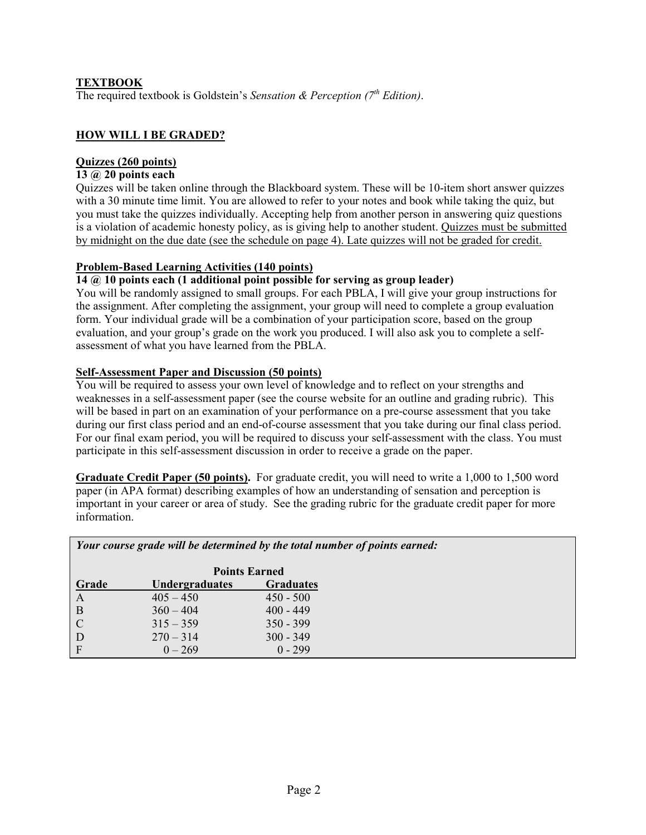## TEXTBOOK

The required textbook is Goldstein's Sensation & Perception  $(7<sup>th</sup> Edition)$ .

### HOW WILL I BE GRADED?

## Quizzes (260 points)

### 13 @ 20 points each

Quizzes will be taken online through the Blackboard system. These will be 10-item short answer quizzes with a 30 minute time limit. You are allowed to refer to your notes and book while taking the quiz, but you must take the quizzes individually. Accepting help from another person in answering quiz questions is a violation of academic honesty policy, as is giving help to another student. Quizzes must be submitted by midnight on the due date (see the schedule on page 4). Late quizzes will not be graded for credit.

### Problem-Based Learning Activities (140 points)

### $14$   $\omega$  10 points each (1 additional point possible for serving as group leader)

You will be randomly assigned to small groups. For each PBLA, I will give your group instructions for the assignment. After completing the assignment, your group will need to complete a group evaluation form. Your individual grade will be a combination of your participation score, based on the group evaluation, and your group's grade on the work you produced. I will also ask you to complete a selfassessment of what you have learned from the PBLA.

### Self-Assessment Paper and Discussion (50 points)

You will be required to assess your own level of knowledge and to reflect on your strengths and weaknesses in a self-assessment paper (see the course website for an outline and grading rubric). This will be based in part on an examination of your performance on a pre-course assessment that you take during our first class period and an end-of-course assessment that you take during our final class period. For our final exam period, you will be required to discuss your self-assessment with the class. You must participate in this self-assessment discussion in order to receive a grade on the paper.

Graduate Credit Paper (50 points). For graduate credit, you will need to write a 1,000 to 1,500 word paper (in APA format) describing examples of how an understanding of sensation and perception is important in your career or area of study. See the grading rubric for the graduate credit paper for more information.

| Your course grade will be determined by the total number of points earned: |  |
|----------------------------------------------------------------------------|--|
| $\mathbf{n}$ . $\mathbf{n}$ . If                                           |  |

|               |                | <b>Points Earned</b> |  |  |
|---------------|----------------|----------------------|--|--|
| Grade         | Undergraduates | <b>Graduates</b>     |  |  |
| A             | $405 - 450$    | $450 - 500$          |  |  |
| B             | $360 - 404$    | $400 - 449$          |  |  |
| $\mathcal{C}$ | $315 - 359$    | $350 - 399$          |  |  |
| D             | $270 - 314$    | $300 - 349$          |  |  |
| F             | $0 - 269$      | $0 - 299$            |  |  |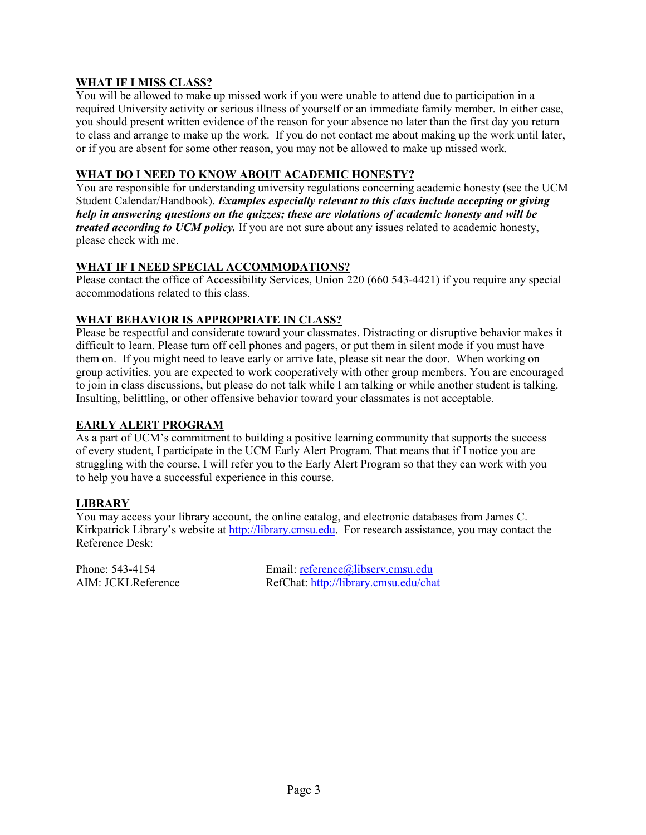## WHAT IF I MISS CLASS?

You will be allowed to make up missed work if you were unable to attend due to participation in a required University activity or serious illness of yourself or an immediate family member. In either case, you should present written evidence of the reason for your absence no later than the first day you return to class and arrange to make up the work. If you do not contact me about making up the work until later, or if you are absent for some other reason, you may not be allowed to make up missed work.

### WHAT DO I NEED TO KNOW ABOUT ACADEMIC HONESTY?

You are responsible for understanding university regulations concerning academic honesty (see the UCM Student Calendar/Handbook). Examples especially relevant to this class include accepting or giving help in answering questions on the quizzes; these are violations of academic honesty and will be treated according to UCM policy. If you are not sure about any issues related to academic honesty, please check with me.

### WHAT IF I NEED SPECIAL ACCOMMODATIONS?

Please contact the office of Accessibility Services, Union 220 (660 543-4421) if you require any special accommodations related to this class.

### WHAT BEHAVIOR IS APPROPRIATE IN CLASS?

Please be respectful and considerate toward your classmates. Distracting or disruptive behavior makes it difficult to learn. Please turn off cell phones and pagers, or put them in silent mode if you must have them on. If you might need to leave early or arrive late, please sit near the door. When working on group activities, you are expected to work cooperatively with other group members. You are encouraged to join in class discussions, but please do not talk while I am talking or while another student is talking. Insulting, belittling, or other offensive behavior toward your classmates is not acceptable.

### EARLY ALERT PROGRAM

As a part of UCM's commitment to building a positive learning community that supports the success of every student, I participate in the UCM Early Alert Program. That means that if I notice you are struggling with the course, I will refer you to the Early Alert Program so that they can work with you to help you have a successful experience in this course.

### **LIBRARY**

You may access your library account, the online catalog, and electronic databases from James C. Kirkpatrick Library's website at http://library.cmsu.edu. For research assistance, you may contact the Reference Desk:

Phone: 543-4154 Email: reference@libserv.cmsu.edu AIM: JCKLReference RefChat: http://library.cmsu.edu/chat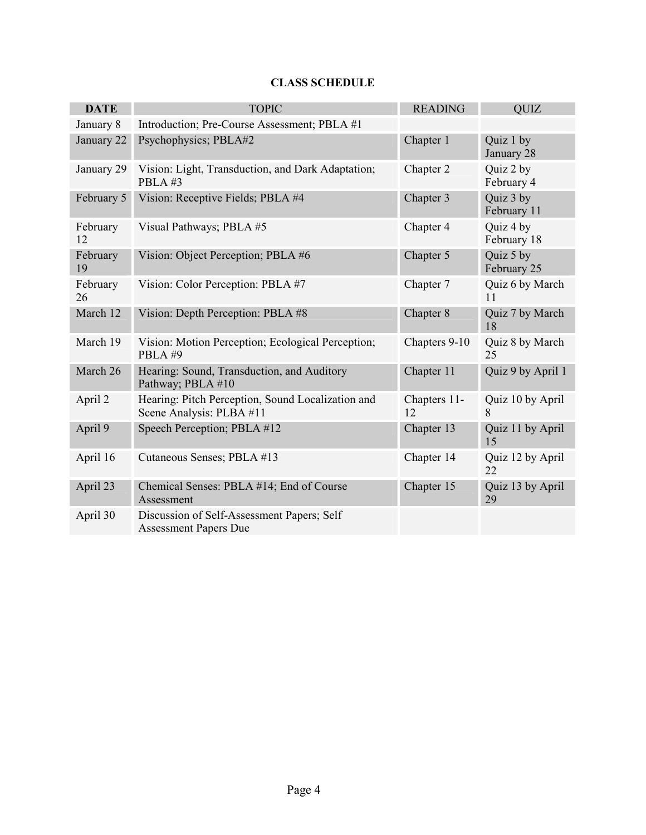# CLASS SCHEDULE

| <b>DATE</b>    | <b>TOPIC</b>                                                                  | <b>READING</b>     | <b>OUIZ</b>              |
|----------------|-------------------------------------------------------------------------------|--------------------|--------------------------|
| January 8      | Introduction; Pre-Course Assessment; PBLA #1                                  |                    |                          |
| January 22     | Psychophysics; PBLA#2                                                         | Chapter 1          | Quiz 1 by<br>January 28  |
| January 29     | Vision: Light, Transduction, and Dark Adaptation;<br>PBLA#3                   | Chapter 2          | Quiz 2 by<br>February 4  |
| February 5     | Vision: Receptive Fields; PBLA #4                                             | Chapter 3          | Quiz 3 by<br>February 11 |
| February<br>12 | Visual Pathways; PBLA #5                                                      | Chapter 4          | Quiz 4 by<br>February 18 |
| February<br>19 | Vision: Object Perception; PBLA #6                                            | Chapter 5          | Quiz 5 by<br>February 25 |
| February<br>26 | Vision: Color Perception: PBLA #7                                             | Chapter 7          | Quiz 6 by March<br>11    |
| March 12       | Vision: Depth Perception: PBLA #8                                             | Chapter 8          | Quiz 7 by March<br>18    |
| March 19       | Vision: Motion Perception; Ecological Perception;<br>PBLA#9                   | Chapters 9-10      | Quiz 8 by March<br>25    |
| March 26       | Hearing: Sound, Transduction, and Auditory<br>Pathway; PBLA #10               | Chapter 11         | Quiz 9 by April 1        |
| April 2        | Hearing: Pitch Perception, Sound Localization and<br>Scene Analysis: PLBA #11 | Chapters 11-<br>12 | Quiz 10 by April<br>8    |
| April 9        | Speech Perception; PBLA #12                                                   | Chapter 13         | Quiz 11 by April<br>15   |
| April 16       | Cutaneous Senses; PBLA #13                                                    | Chapter 14         | Quiz 12 by April<br>22   |
| April 23       | Chemical Senses: PBLA #14; End of Course<br>Assessment                        | Chapter 15         | Quiz 13 by April<br>29   |
| April 30       | Discussion of Self-Assessment Papers; Self<br><b>Assessment Papers Due</b>    |                    |                          |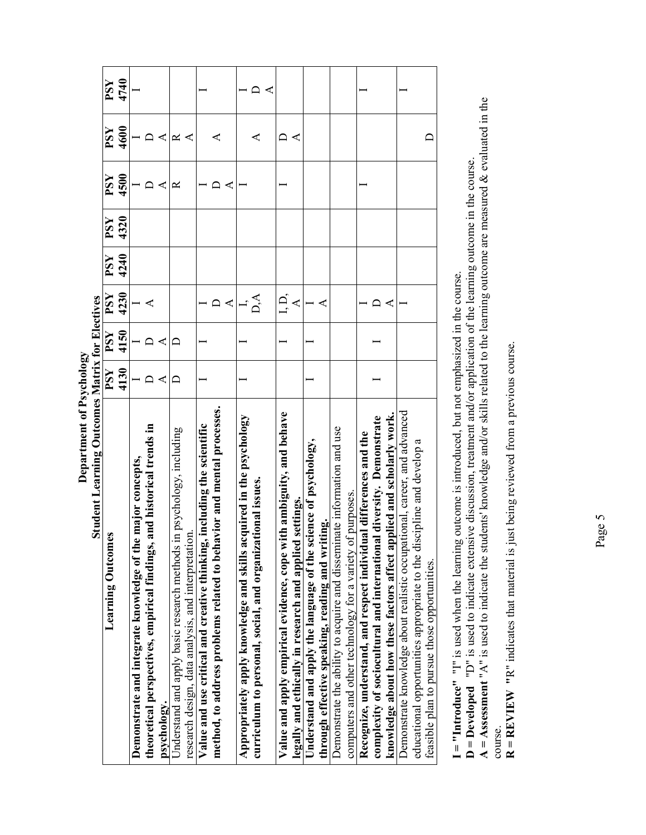| <b>Student Learning Outcomes Matrix for Electives</b>                     |      |      |                      |      |            |      |      |      |
|---------------------------------------------------------------------------|------|------|----------------------|------|------------|------|------|------|
| <b>Learning Outcomes</b>                                                  | PSY  | PSY  | PSY                  | PSY  | <b>FSY</b> | PSY  | PSY  | PSY  |
|                                                                           | 4130 | 4150 | 4230                 | 4240 | 4320       | 4500 | 4600 | 4740 |
| Demonstrate and integrate knowledge of the major concepts,                |      |      |                      |      |            |      |      |      |
| and historical trends in<br>theoretical perspectives, empirical findings, |      |      |                      |      |            |      |      |      |
| psychology.                                                               |      |      |                      |      |            | ⋖    | ⋖    |      |
| in psychology, including<br>Understand and apply basic research methods   |      |      |                      |      |            | ≃    | ≃    |      |
| research design, data analysis, and interpretation                        |      |      |                      |      |            |      |      |      |
| Value and use critical and creative thinking, including the scientific    |      |      |                      |      |            |      |      |      |
| method, to address problems related to behavior and mental processes.     |      |      | ⋖                    |      |            | ⋖    | ⋖    |      |
| Appropriately apply knowledge and skills acquired in the psychology       |      |      |                      |      |            |      |      |      |
| curriculum to personal, social, and organizational issues.                |      |      | $\breve{\mathsf{A}}$ |      |            |      |      |      |
| Value and apply empirical evidence, cope with ambiguity, and behave       |      |      | $\dot{D}$            |      |            |      |      |      |
| legally and ethically in research and applied settings.                   |      |      | ⋖                    |      |            |      |      |      |
| Understand and apply the language of the science of psychology,           |      |      |                      |      |            |      |      |      |
| through effective speaking, reading and writing.                          |      |      |                      |      |            |      |      |      |
| Demonstrate the ability to acquire and disseminate information and use    |      |      |                      |      |            |      |      |      |
| computers and other technology for a variety of purposes.                 |      |      |                      |      |            |      |      |      |
| al differences and the<br>Recognize, understand, and respect individu     |      |      |                      |      |            |      |      |      |
| complexity of sociocultural and international diversity. Demonstrate      |      |      |                      |      |            |      |      |      |
| knowledge about how these factors affect applied and scholarly work.      |      |      |                      |      |            |      |      |      |
| Demonstrate knowledge about realistic occupational, career, and advanced  |      |      |                      |      |            |      |      |      |
| educational opportunities appropriate to the discipline and develop a     |      |      |                      |      |            |      |      |      |
| feasible plan to pursue those opportunities.                              |      |      |                      |      |            |      |      |      |

Department of Psychology Department of Psychology  $\blacksquare$  I = "Introduce" "I" is used when the learning outcome is introduced, but not emphasized in the course. I = "Introduce" "I" is used when the learning outcome is introduced, but not emphasized in the course.

**D** = **Developed** "D" is used to indicate extensive discussion, treatment and/or application of the learning outcome in the course.<br>A = Assessment "A" is used to indicate the students' knowledge and/or skills related to t  $A = Assument''A''$  is used to indicate the students' knowledge and/or skills related to the learning outcome are measured & evaluated in the D = Developed "D" is used to indicate extensive discussion, treatment and/or application of the learning outcome in the course.

course.<br> $R = REVIEW$  "R" indicates that material is just being reviewed from a previous course.  $R = REVIEW'''R''$  indicates that material is just being reviewed from a previous course.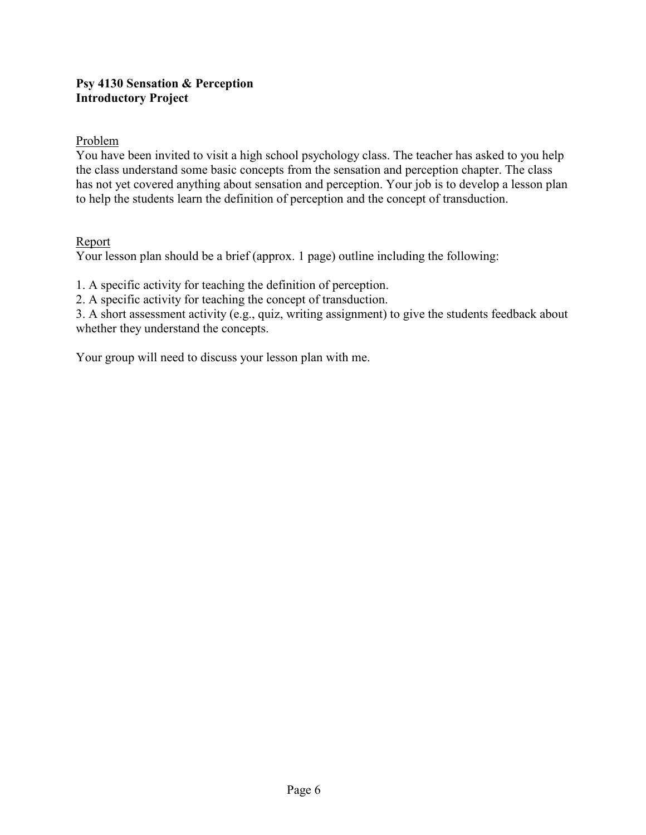# Psy 4130 Sensation & Perception Introductory Project

# Problem

You have been invited to visit a high school psychology class. The teacher has asked to you help the class understand some basic concepts from the sensation and perception chapter. The class has not yet covered anything about sensation and perception. Your job is to develop a lesson plan to help the students learn the definition of perception and the concept of transduction.

# Report

Your lesson plan should be a brief (approx. 1 page) outline including the following:

1. A specific activity for teaching the definition of perception.

2. A specific activity for teaching the concept of transduction.

3. A short assessment activity (e.g., quiz, writing assignment) to give the students feedback about whether they understand the concepts.

Your group will need to discuss your lesson plan with me.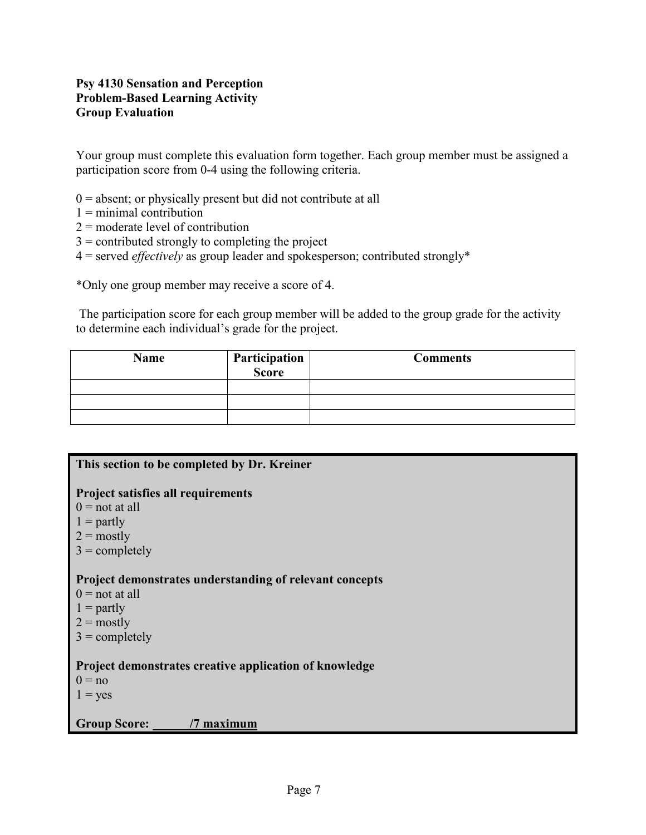# Psy 4130 Sensation and Perception Problem-Based Learning Activity Group Evaluation

Your group must complete this evaluation form together. Each group member must be assigned a participation score from 0-4 using the following criteria.

- $0 =$  absent; or physically present but did not contribute at all
- $1 =$  minimal contribution
- 2 = moderate level of contribution
- $3 =$  contributed strongly to completing the project
- $4$  = served *effectively* as group leader and spokesperson; contributed strongly\*

\*Only one group member may receive a score of 4.

 The participation score for each group member will be added to the group grade for the activity to determine each individual's grade for the project.

| <b>Name</b> | Participation<br>Score | <b>Comments</b> |
|-------------|------------------------|-----------------|
|             |                        |                 |
|             |                        |                 |
|             |                        |                 |

| This section to be completed by Dr. Kreiner                                                                                            |
|----------------------------------------------------------------------------------------------------------------------------------------|
| <b>Project satisfies all requirements</b><br>$0 = not at all$<br>$1 =$ partly<br>$2 = \text{mostly}$<br>$3 =$ completely               |
| Project demonstrates understanding of relevant concepts<br>$0 =$ not at all<br>$1 =$ partly<br>$2 = \text{mostly}$<br>$3 =$ completely |
| Project demonstrates creative application of knowledge<br>$0 = no$<br>$1 = yes$                                                        |
| <b>Group Score:</b><br>/7 maximum                                                                                                      |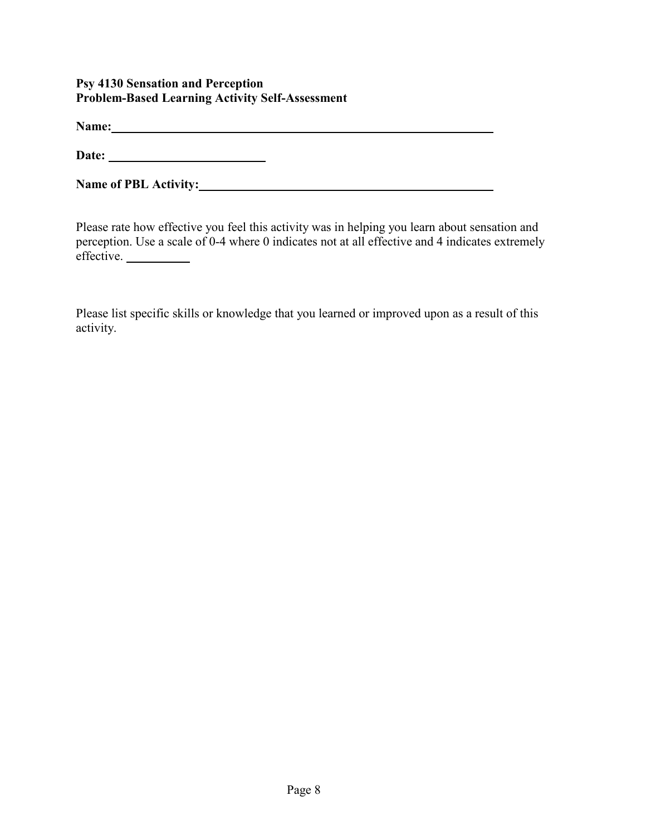# Psy 4130 Sensation and Perception Problem-Based Learning Activity Self-Assessment

Name: Name: Name: Name: Name: Name: Name: Name: Name: Name: Name: Name: Name: Name: Name: Name: Name: Name: Name: Name: Name: Name: Name: Name: Name: Name: Name: Name: Name: Name: Name: Name: Name: Name: Name: Name: Name:

Date:

Name of PBL Activity:

Please rate how effective you feel this activity was in helping you learn about sensation and perception. Use a scale of 0-4 where 0 indicates not at all effective and 4 indicates extremely effective.

Please list specific skills or knowledge that you learned or improved upon as a result of this activity.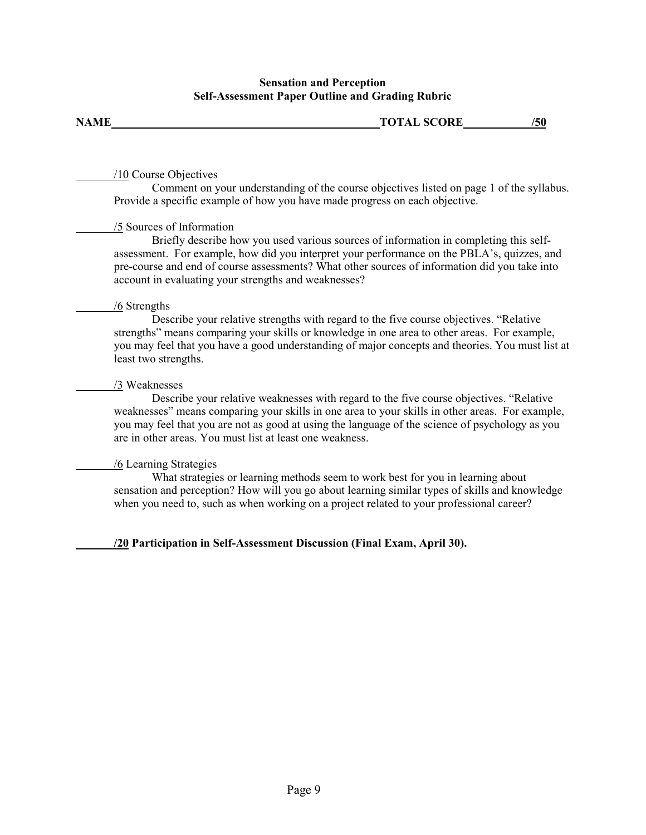### Sensation and Perception Self-Assessment Paper Outline and Grading Rubric

| <b>NAME</b> | <b>TOTAL SCORE</b> | ווכי |
|-------------|--------------------|------|
|             |                    |      |

### /10 Course Objectives

Comment on your understanding of the course objectives listed on page 1 of the syllabus. Provide a specific example of how you have made progress on each objective.

### /5 Sources of Information

Briefly describe how you used various sources of information in completing this selfassessment. For example, how did you interpret your performance on the PBLA's, quizzes, and pre-course and end of course assessments? What other sources of information did you take into account in evaluating your strengths and weaknesses?

### /6 Strengths

Describe your relative strengths with regard to the five course objectives. "Relative strengths" means comparing your skills or knowledge in one area to other areas. For example, you may feel that you have a good understanding of major concepts and theories. You must list at least two strengths.

### /3 Weaknesses

Describe your relative weaknesses with regard to the five course objectives. "Relative weaknesses" means comparing your skills in one area to your skills in other areas. For example, you may feel that you are not as good at using the language of the science of psychology as you are in other areas. You must list at least one weakness.

## /6 Learning Strategies

What strategies or learning methods seem to work best for you in learning about sensation and perception? How will you go about learning similar types of skills and knowledge when you need to, such as when working on a project related to your professional career?

## /20 Participation in Self-Assessment Discussion (Final Exam, April 30).